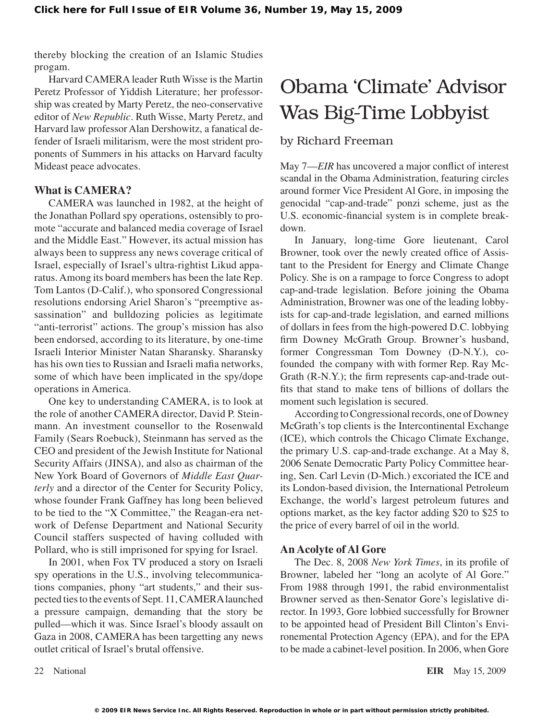thereby blocking the creation of an Islamic Studies progam.

Harvard CAMERA leader Ruth Wisse is the Martin Peretz Professor of Yiddish Literature; her professorship was created by Marty Peretz, the neo-conservative editor of *New Republic*. Ruth Wisse, Marty Peretz, and Harvard law professor Alan Dershowitz, a fanatical defender of Israeli militarism, were the most strident proponents of Summers in his attacks on Harvard faculty Mideast peace advocates.

## **What is CAMERA?**

CAMERA was launched in 1982, at the height of the Jonathan Pollard spy operations, ostensibly to promote "accurate and balanced media coverage of Israel and the Middle East." However, its actual mission has always been to suppress any news coverage critical of Israel, especially of Israel's ultra-rightist Likud apparatus.Among its board members has been the late Rep. Tom Lantos (D-Calif.), who sponsored Congressional resolutions endorsing Ariel Sharon's "preemptive assassination" and bulldozing policies as legitimate "anti-terrorist" actions. The group's mission has also been endorsed, according to its literature, by one-time Israeli Interior Minister Natan Sharansky. Sharansky has his own ties to Russian and Israeli mafia networks, some of which have been implicated in the spy/dope operations in America.

One key to understanding CAMERA, is to look at the role of another CAMERA director, David P. Steinmann. An investment counsellor to the Rosenwald Family (Sears Roebuck), Steinmann has served as the CEO and president of the Jewish Institute for National Security Affairs (JINSA), and also as chairman of the New York Board of Governors of *Middle East Quarterly* and a director of the Center for Security Policy, whose founder Frank Gaffney has long been believed to be tied to the "X Committee," the Reagan-era network of Defense Department and National Security Council staffers suspected of having colluded with Pollard, who is still imprisoned for spying for Israel.

In 2001, when Fox TV produced a story on Israeli spy operations in the U.S., involving telecommunications companies, phony "art students," and their suspected ties to the events of Sept. 11, CAMERA launched a pressure campaign, demanding that the story be pulled—which it was. Since Israel's bloody assault on Gaza in 2008, CAMERA has been targetting any news outlet critical of Israel's brutal offensive.

# Obama 'Climate' Advisor Was Big-Time Lobbyist

## by Richard Freeman

May 7—*EIR* has uncovered a major conflict of interest scandal in the Obama Administration, featuring circles around former Vice President Al Gore, in imposing the genocidal "cap-and-trade" ponzi scheme, just as the U.S. economic-financial system is in complete breakdown.

In January, long-time Gore lieutenant, Carol Browner, took over the newly created office of Assistant to the President for Energy and Climate Change Policy. She is on a rampage to force Congress to adopt cap-and-trade legislation. Before joining the Obama Administration, Browner was one of the leading lobbyists for cap-and-trade legislation, and earned millions of dollars in fees from the high-powered D.C. lobbying firm Downey McGrath Group. Browner's husband, former Congressman Tom Downey (D-N.Y.), cofounded the company with with former Rep. Ray Mc-Grath (R-N.Y.); the firm represents cap-and-trade outfits that stand to make tens of billions of dollars the moment such legislation is secured.

According to Congressional records, one of Downey McGrath's top clients is the Intercontinental Exchange (ICE), which controls the Chicago Climate Exchange, the primary U.S. cap-and-trade exchange. At a May 8, 2006 Senate Democratic Party Policy Committee hearing, Sen. Carl Levin (D-Mich.) excoriated the ICE and its London-based division, the International Petroleum Exchange, the world's largest petroleum futures and options market, as the key factor adding \$20 to \$25 to the price of every barrel of oil in the world.

### **An Acolyte of Al Gore**

The Dec. 8, 2008 *New York Times*, in its profile of Browner, labeled her "long an acolyte of Al Gore." From 1988 through 1991, the rabid environmentalist Browner served as then-Senator Gore's legislative director. In 1993, Gore lobbied successfully for Browner to be appointed head of President Bill Clinton's Environemental Protection Agency (EPA), and for the EPA to be made a cabinet-level position. In 2006, when Gore